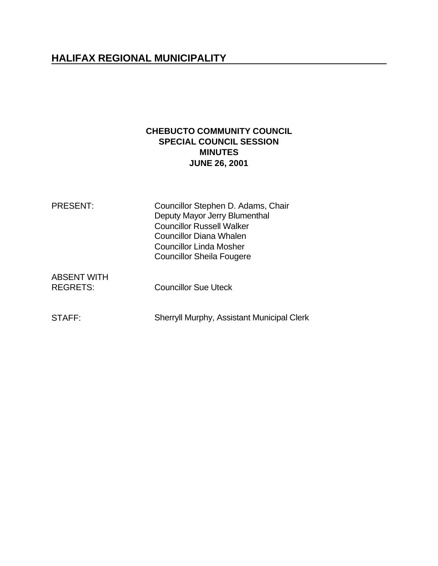# **HALIFAX REGIONAL MUNICIPALITY**

# **CHEBUCTO COMMUNITY COUNCIL SPECIAL COUNCIL SESSION MINUTES JUNE 26, 2001**

| <b>PRESENT:</b>    | Councillor Stephen D. Adams, Chair<br>Deputy Mayor Jerry Blumenthal |
|--------------------|---------------------------------------------------------------------|
|                    | <b>Councillor Russell Walker</b>                                    |
|                    | <b>Councillor Diana Whalen</b>                                      |
|                    | <b>Councillor Linda Mosher</b>                                      |
|                    | <b>Councillor Sheila Fougere</b>                                    |
| <b>ABSENT WITH</b> |                                                                     |
| <b>REGRETS:</b>    | <b>Councillor Sue Uteck</b>                                         |

STAFF: Sherryll Murphy, Assistant Municipal Clerk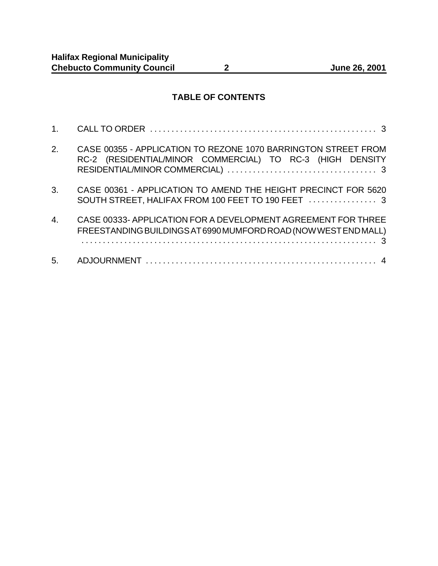# **TABLE OF CONTENTS**

| 2.               | CASE 00355 - APPLICATION TO REZONE 1070 BARRINGTON STREET FROM<br>RC-2 (RESIDENTIAL/MINOR COMMERCIAL) TO RC-3 (HIGH DENSITY     |
|------------------|---------------------------------------------------------------------------------------------------------------------------------|
| 3.               | CASE 00361 - APPLICATION TO AMEND THE HEIGHT PRECINCT FOR 5620<br>SOUTH STREET, HALIFAX FROM 100 FEET TO 190 FEET  3            |
| $\overline{4}$ . | CASE 00333-APPLICATION FOR A DEVELOPMENT AGREEMENT FOR THREE<br>FREESTANDING BUILDINGS AT 6990 MUMFORD ROAD (NOW WEST END MALL) |
| 5.               |                                                                                                                                 |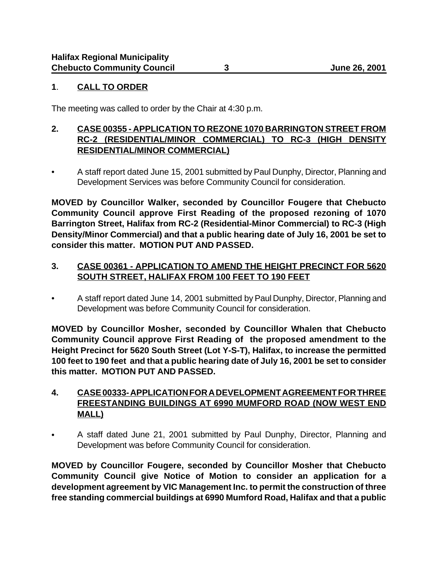## **1**. **CALL TO ORDER**

The meeting was called to order by the Chair at 4:30 p.m.

### **2. CASE 00355 - APPLICATION TO REZONE 1070 BARRINGTON STREET FROM RC-2 (RESIDENTIAL/MINOR COMMERCIAL) TO RC-3 (HIGH DENSITY RESIDENTIAL/MINOR COMMERCIAL)**

• A staff report dated June 15, 2001 submitted by Paul Dunphy, Director, Planning and Development Services was before Community Council for consideration.

**MOVED by Councillor Walker, seconded by Councillor Fougere that Chebucto Community Council approve First Reading of the proposed rezoning of 1070 Barrington Street, Halifax from RC-2 (Residential-Minor Commercial) to RC-3 (High Density/Minor Commercial) and that a public hearing date of July 16, 2001 be set to consider this matter. MOTION PUT AND PASSED.**

## **3. CASE 00361 - APPLICATION TO AMEND THE HEIGHT PRECINCT FOR 5620 SOUTH STREET, HALIFAX FROM 100 FEET TO 190 FEET**

• A staff report dated June 14, 2001 submitted by Paul Dunphy, Director, Planning and Development was before Community Council for consideration.

**MOVED by Councillor Mosher, seconded by Councillor Whalen that Chebucto Community Council approve First Reading of the proposed amendment to the Height Precinct for 5620 South Street (Lot Y-S-T), Halifax, to increase the permitted 100 feet to 190 feet and that a public hearing date of July 16, 2001 be set to consider this matter. MOTION PUT AND PASSED.**

# **4. CASE 00333- APPLICATION FOR A DEVELOPMENT AGREEMENT FOR THREE FREESTANDING BUILDINGS AT 6990 MUMFORD ROAD (NOW WEST END MALL)**

• A staff dated June 21, 2001 submitted by Paul Dunphy, Director, Planning and Development was before Community Council for consideration.

**MOVED by Councillor Fougere, seconded by Councillor Mosher that Chebucto Community Council give Notice of Motion to consider an application for a development agreement by VIC Management Inc. to permit the construction of three free standing commercial buildings at 6990 Mumford Road, Halifax and that a public**